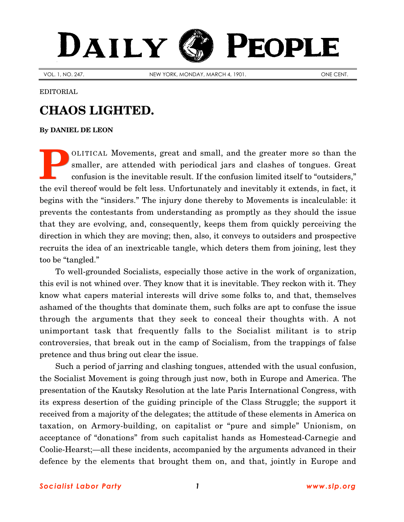## PEOPLE DAILY

VOL. 1, NO. 247. NEW YORK, MONDAY, MARCH 4, 1901. New YOR. 1, NO. 247.

EDITORIAL

## **CHAOS LIGHTED.**

## **By [DANIEL DE LEON](http://www.slp.org/De_Leon.htm)**

OLITICAL Movements, great and small, and the greater more so than the smaller, are attended with periodical jars and clashes of tongues. Great confusion is the inevitable result. If the confusion limited itself to "outsiders," the evil thereof would be felt less. Unfortunately and inevitably it extends, in fact, it begins with the "insiders." The injury done thereby to Movements is incalculable: it prevents the contestants from understanding as promptly as they should the issue that they are evolving, and, consequently, keeps them from quickly perceiving the direction in which they are moving; then, also, it conveys to outsiders and prospective recruits the idea of an inextricable tangle, which deters them from joining, lest they too be "tangled." **P**

To well-grounded Socialists, especially those active in the work of organization, this evil is not whined over. They know that it is inevitable. They reckon with it. They know what capers material interests will drive some folks to, and that, themselves ashamed of the thoughts that dominate them, such folks are apt to confuse the issue through the arguments that they seek to conceal their thoughts with. A not unimportant task that frequently falls to the Socialist militant is to strip controversies, that break out in the camp of Socialism, from the trappings of false pretence and thus bring out clear the issue.

Such a period of jarring and clashing tongues, attended with the usual confusion, the Socialist Movement is going through just now, both in Europe and America. The presentation of the Kautsky Resolution at the late Paris International Congress, with its express desertion of the guiding principle of the Class Struggle; the support it received from a majority of the delegates; the attitude of these elements in America on taxation, on Armory-building, on capitalist or "pure and simple" Unionism, on acceptance of "donations" from such capitalist hands as Homestead-Carnegie and Coolie-Hearst;—all these incidents, accompanied by the arguments advanced in their defence by the elements that brought them on, and that, jointly in Europe and